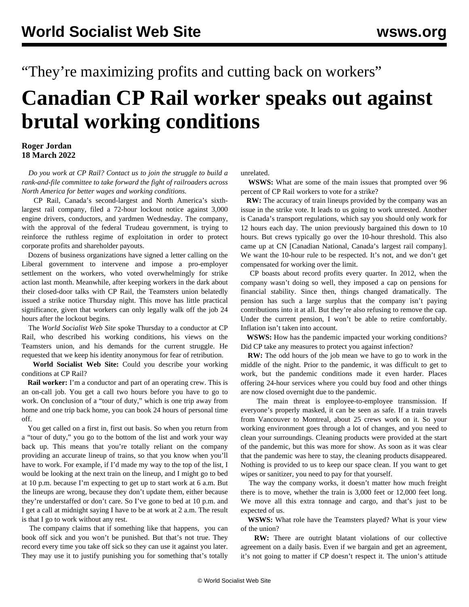## "They're maximizing profits and cutting back on workers"

## **Canadian CP Rail worker speaks out against brutal working conditions**

## **Roger Jordan 18 March 2022**

 *Do you work at CP Rail? [Contact us](/en/special/pages/contact.html) to join the struggle to build a rank-and-file committee to take forward the fight of railroaders across North America for better wages and working conditions.*

 CP Rail, Canada's second-largest and North America's sixthlargest rail company, filed a 72-hour lockout notice against 3,000 engine drivers, conductors, and yardmen Wednesday. The company, with the approval of the federal Trudeau government, is trying to reinforce the ruthless regime of exploitation in order to protect corporate profits and shareholder payouts.

 Dozens of business organizations have signed a letter calling on the Liberal government to intervene and impose a pro-employer settlement on the workers, who voted overwhelmingly for strike action last month. Meanwhile, after keeping workers in the dark about their closed-door talks with CP Rail, the Teamsters union belatedly issued a strike notice Thursday night. This move has little practical significance, given that workers can only legally walk off the job 24 hours after the lockout begins.

 The *World Socialist Web Site* spoke Thursday to a conductor at CP Rail, who described his working conditions, his views on the Teamsters union, and his demands for the current struggle. He requested that we keep his identity anonymous for fear of retribution.

 **World Socialist Web Site:** Could you describe your working conditions at CP Rail?

 **Rail worker:** I'm a conductor and part of an operating crew. This is an on-call job. You get a call two hours before you have to go to work. On conclusion of a "tour of duty," which is one trip away from home and one trip back home, you can book 24 hours of personal time off.

 You get called on a first in, first out basis. So when you return from a "tour of duty," you go to the bottom of the list and work your way back up. This means that you're totally reliant on the company providing an accurate lineup of trains, so that you know when you'll have to work. For example, if I'd made my way to the top of the list, I would be looking at the next train on the lineup, and I might go to bed at 10 p.m. because I'm expecting to get up to start work at 6 a.m. But the lineups are wrong, because they don't update them, either because they're understaffed or don't care. So I've gone to bed at 10 p.m. and I get a call at midnight saying I have to be at work at 2 a.m. The result is that I go to work without any rest.

 The company claims that if something like that happens, you can book off sick and you won't be punished. But that's not true. They record every time you take off sick so they can use it against you later. They may use it to justify punishing you for something that's totally

unrelated.

 **WSWS:** What are some of the main issues that prompted over 96 percent of CP Rail workers to [vote for a strike?](/en/articles/2022/03/04/cpac-m04.html)

 **RW:** The accuracy of train lineups provided by the company was an issue in the strike vote. It leads to us going to work unrested. Another is Canada's transport regulations, which say you should only work for 12 hours each day. The union previously bargained this down to 10 hours. But crews typically go over the 10-hour threshold. This also came up at CN [Canadian National, Canada's largest rail company]. We want the 10-hour rule to be respected. It's not, and we don't get compensated for working over the limit.

 CP boasts about record profits every quarter. In 2012, when the company wasn't doing so well, they imposed a cap on pensions for financial stability. Since then, things changed dramatically. The pension has such a large surplus that the company isn't paying contributions into it at all. But they're also refusing to remove the cap. Under the current pension, I won't be able to retire comfortably. Inflation isn't taken into account.

 **WSWS:** How has the pandemic impacted your working conditions? Did CP take any measures to protect you against infection?

 **RW:** The odd hours of the job mean we have to go to work in the middle of the night. Prior to the pandemic, it was difficult to get to work, but the pandemic conditions made it even harder. Places offering 24-hour services where you could buy food and other things are now closed overnight due to the pandemic.

 The main threat is employee-to-employee transmission. If everyone's properly masked, it can be seen as safe. If a train travels from Vancouver to Montreal, about 25 crews work on it. So your working environment goes through a lot of changes, and you need to clean your surroundings. Cleaning products were provided at the start of the pandemic, but this was more for show. As soon as it was clear that the pandemic was here to stay, the cleaning products disappeared. Nothing is provided to us to keep our space clean. If you want to get wipes or sanitizer, you need to pay for that yourself.

 The way the company works, it doesn't matter how much freight there is to move, whether the train is 3,000 feet or 12,000 feet long. We move all this extra tonnage and cargo, and that's just to be expected of us.

 **WSWS:** What role have the Teamsters played? What is your view of the union?

 **RW:** There are outright blatant violations of our collective agreement on a daily basis. Even if we bargain and get an agreement, it's not going to matter if CP doesn't respect it. The union's attitude